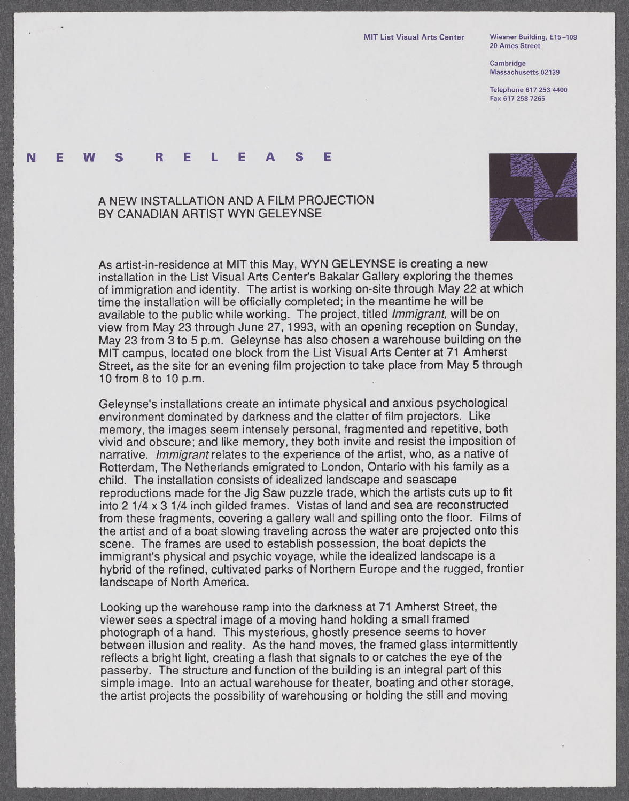**20 Ames Street**

**Cambridge Massachusetts 02139**

**Telephone [617 253 4400](tel:6172534400) Fax [617 258 7265](fax:6172587265)**

## **N E W S R E** L **E A S E**

## **A NEW INSTALLATION AND A** FILM **PROJECTION** BY **CANADIAN** ARTIST WYN **GELEYNSE**



As artist-in-residence at MIT this May, WYN **GELEYNSE** is creating a new installation in the List Visual Arts Center's Bakalar Gallery exploring the themes of immigration and identity. The artist is working on-site through May 22 at which time the installation will be officially completed; in the meantime he will be available to the public while working. The project, titled Immigrant, will be on view from May **23** through June **27, 1993,** with an opening reception on Sunday, May **23** from **3** to **5** p.m. Geleynse has also chosen a warehouse building on the MIT campus, located one block from the List Visual Arts Center at **71** Amherst Street, as the site for an evening film projection to take place from May **5** through **10** from **8** to **10** p.m.

Geleynse's installations create an intimate physical and anxious psychological environment dominated **by** darkness and the clatter of film projectors. Like memory, the images seem intensely personal, fragmented and repetitive, both vivid and obscure; and like memory, they both invite and resist the imposition of narrative. Immigrant relates to the experience of the artist, who, as a native of Rotterdam, The Netherlands emigrated to London, Ontario with his family as a child. The installation consists of idealized landscape and seascape reproductions made for the **Jig** Saw puzzle trade, which the artists cuts up to fit into 2 1/4 x **3** 1/4 inch gilded frames. Vistas of land and sea are reconstructed from these fragments, covering a gallery wall and spilling onto the floor. Films of the artist and of a boat slowing traveling across the water are projected onto this scene. The frames are used to establish possession, the boat depicts the immigrant's physical and psychic voyage, while the idealized landscape is a **hybrid** of the refined, cultivated parks of Northern Europe and the rugged, frontier landscape of North America.

Looking up the warehouse ramp into the darkness at **71** Amherst Street, the viewer sees a spectral image of a moving hand holding a small framed photograph of a hand. This mysterious, ghostly presence seems to hover between illusion and reality. As the hand moves, the framed glass intermittently reflects a bright light, creating a flash that signals to or catches the eye of the passerby. The structure and function of the building is an integral part of this simple image. Into an actual warehouse for theater, boating and other storage, the artist projects the possibility of warehousing or holding the still and moving